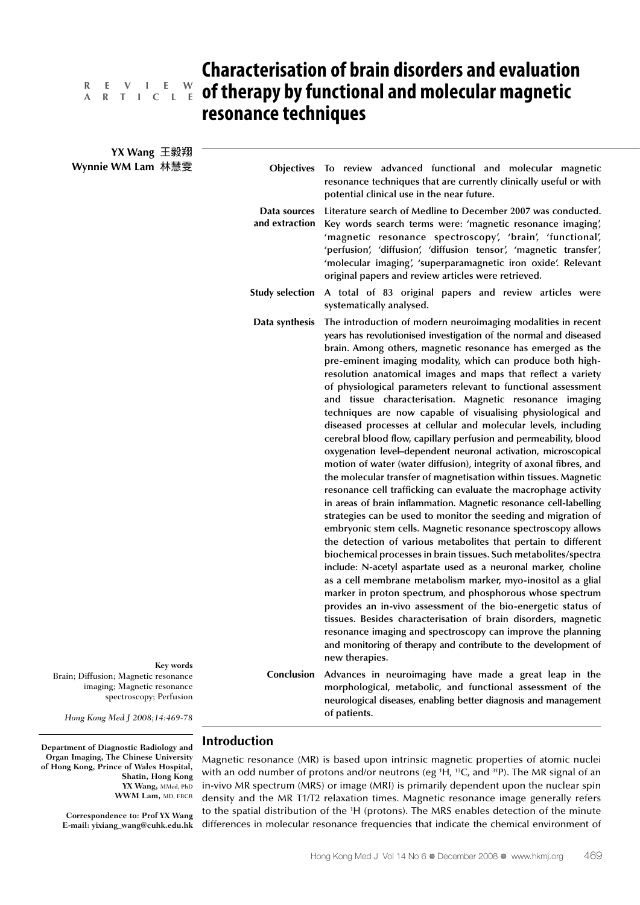# **A R T I C L E**

## **Characterisation of brain disorders and evaluation**  *R* **E** <code>V I L E W cf therapy by functional and molecular magnetic</code> **resonance techniques**

| YX Wang 王毅翔                                                                                                                      |                                |                                                                                                                                                                                                                                                                                                                                                                                                                                                                                                                                                                                                                                                                                                                                                                                                                                                                                                                                                                                                                                                                                                                                                                                                                                                                                                                                                                                                                                                                                                                                                                                                                                                                                                                                                                                  |
|----------------------------------------------------------------------------------------------------------------------------------|--------------------------------|----------------------------------------------------------------------------------------------------------------------------------------------------------------------------------------------------------------------------------------------------------------------------------------------------------------------------------------------------------------------------------------------------------------------------------------------------------------------------------------------------------------------------------------------------------------------------------------------------------------------------------------------------------------------------------------------------------------------------------------------------------------------------------------------------------------------------------------------------------------------------------------------------------------------------------------------------------------------------------------------------------------------------------------------------------------------------------------------------------------------------------------------------------------------------------------------------------------------------------------------------------------------------------------------------------------------------------------------------------------------------------------------------------------------------------------------------------------------------------------------------------------------------------------------------------------------------------------------------------------------------------------------------------------------------------------------------------------------------------------------------------------------------------|
| Wynnie WM Lam 林慧雯<br>Key words                                                                                                   |                                | Objectives To review advanced functional and molecular magnetic<br>resonance techniques that are currently clinically useful or with<br>potential clinical use in the near future.                                                                                                                                                                                                                                                                                                                                                                                                                                                                                                                                                                                                                                                                                                                                                                                                                                                                                                                                                                                                                                                                                                                                                                                                                                                                                                                                                                                                                                                                                                                                                                                               |
|                                                                                                                                  | Data sources<br>and extraction | Literature search of Medline to December 2007 was conducted.<br>Key words search terms were: 'magnetic resonance imaging',<br>'magnetic resonance spectroscopy', 'brain', 'functional',<br>'perfusion', 'diffusion', 'diffusion tensor', 'magnetic transfer',<br>'molecular imaging', 'superparamagnetic iron oxide'. Relevant<br>original papers and review articles were retrieved.                                                                                                                                                                                                                                                                                                                                                                                                                                                                                                                                                                                                                                                                                                                                                                                                                                                                                                                                                                                                                                                                                                                                                                                                                                                                                                                                                                                            |
|                                                                                                                                  | <b>Study selection</b>         | A total of 83 original papers and review articles were<br>systematically analysed.                                                                                                                                                                                                                                                                                                                                                                                                                                                                                                                                                                                                                                                                                                                                                                                                                                                                                                                                                                                                                                                                                                                                                                                                                                                                                                                                                                                                                                                                                                                                                                                                                                                                                               |
|                                                                                                                                  | Data synthesis                 | The introduction of modern neuroimaging modalities in recent<br>years has revolutionised investigation of the normal and diseased<br>brain. Among others, magnetic resonance has emerged as the<br>pre-eminent imaging modality, which can produce both high-<br>resolution anatomical images and maps that reflect a variety<br>of physiological parameters relevant to functional assessment<br>and tissue characterisation. Magnetic resonance imaging<br>techniques are now capable of visualising physiological and<br>diseased processes at cellular and molecular levels, including<br>cerebral blood flow, capillary perfusion and permeability, blood<br>oxygenation level-dependent neuronal activation, microscopical<br>motion of water (water diffusion), integrity of axonal fibres, and<br>the molecular transfer of magnetisation within tissues. Magnetic<br>resonance cell trafficking can evaluate the macrophage activity<br>in areas of brain inflammation. Magnetic resonance cell-labelling<br>strategies can be used to monitor the seeding and migration of<br>embryonic stem cells. Magnetic resonance spectroscopy allows<br>the detection of various metabolites that pertain to different<br>biochemical processes in brain tissues. Such metabolites/spectra<br>include: N-acetyl aspartate used as a neuronal marker, choline<br>as a cell membrane metabolism marker, myo-inositol as a glial<br>marker in proton spectrum, and phosphorous whose spectrum<br>provides an in-vivo assessment of the bio-energetic status of<br>tissues. Besides characterisation of brain disorders, magnetic<br>resonance imaging and spectroscopy can improve the planning<br>and monitoring of therapy and contribute to the development of<br>new therapies. |
| Brain; Diffusion; Magnetic resonance<br>imaging; Magnetic resonance<br>spectroscopy; Perfusion<br>Hong Kong Med J 2008;14:469-78 | Conclusion                     | Advances in neuroimaging have made a great leap in the<br>morphological, metabolic, and functional assessment of the<br>neurological diseases, enabling better diagnosis and management<br>of patients.                                                                                                                                                                                                                                                                                                                                                                                                                                                                                                                                                                                                                                                                                                                                                                                                                                                                                                                                                                                                                                                                                                                                                                                                                                                                                                                                                                                                                                                                                                                                                                          |
|                                                                                                                                  |                                |                                                                                                                                                                                                                                                                                                                                                                                                                                                                                                                                                                                                                                                                                                                                                                                                                                                                                                                                                                                                                                                                                                                                                                                                                                                                                                                                                                                                                                                                                                                                                                                                                                                                                                                                                                                  |

**Department of Diagnostic Radiology and Organ Imaging, The Chinese University of Hong Kong, Prince of Wales Hospital, Shatin, Hong Kong YX Wang,** MMed, PhD WWM Lam, MD, FRCR

> **Correspondence to: Prof YX Wang E-mail: yixiang\_wang@cuhk.edu.hk**

#### **Introduction**

Magnetic resonance (MR) is based upon intrinsic magnetic properties of atomic nuclei with an odd number of protons and/or neutrons (eg <sup>1</sup>H, <sup>13</sup>C, and <sup>31</sup>P). The MR signal of an in-vivo MR spectrum (MRS) or image (MRI) is primarily dependent upon the nuclear spin density and the MR T1/T2 relaxation times. Magnetic resonance image generally refers to the spatial distribution of the 1 H (protons). The MRS enables detection of the minute differences in molecular resonance frequencies that indicate the chemical environment of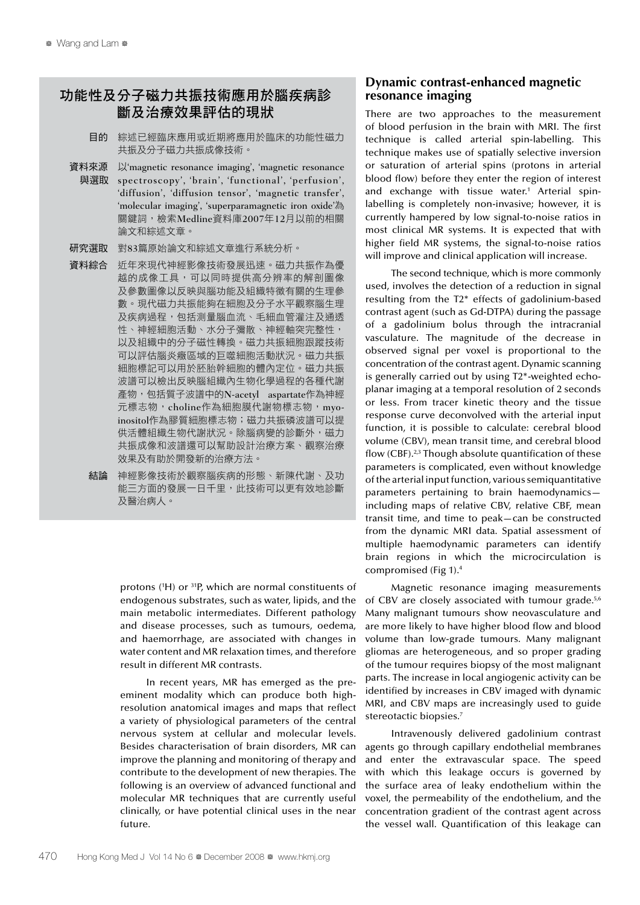### 功能性及分子磁力共振技術應用於腦疾病診 斷及治療效果評估的現狀

- 目的 綜述已經臨床應用或近期將應用於臨床的功能性磁力 共振及分子磁力共振成像技術。
- 資料來源 以'magnetic resonance imaging', 'magnetic resonance spectroscopy', 'brain', 'functional', 'perfusion', 'diffusion', 'diffusion tensor', 'magnetic transfer', 'molecular imaging', 'superparamagnetic iron oxide'為 關鍵詞,檢索Medline資料庫2007年12月以前的相關 論文和綜述文章。 與選取
- 研究選取 對83篇原始論文和綜述文章進行系統分析。
- 資料綜合 近年來現代神經影像技術發展迅速。磁力共振作為優 越的成像工具,可以同時提供高分辨率的解剖圖像 及參數圖像以反映與腦功能及組織特徵有關的生理參 數。現代磁力共振能夠在細胞及分子水平觀察腦生理 及疾病過程,包括測量腦血流、毛細血管灌注及通透 性、神經細胞活動、水分子彌散、神經軸突完整性, 以及組織中的分子磁性轉換。磁力共振細胞跟蹤技術 可以評估腦炎癥區域的巨噬細胞活動狀況。磁力共振 細胞標記可以用於胚胎幹細胞的體內定位。磁力共振 波譜可以檢出反映腦組織內生物化學過程的各種代謝 產物,包括質子波譜中的N-acetyl aspartate作為神經 元標志物, choline作為細胞膜代謝物標志物, myoinositol作為膠質細胞標志物;磁力共振磷波譜可以提 供活體組織生物代謝狀況。除腦病變的診斷外,磁力 共振成像和波譜還可以幫助設計治療方案、觀察治療 效果及有助於開發新的治療方法。
	- 結論 神經影像技術於觀察腦疾病的形態、新陳代謝、及功 能三方面的發展一日千里,此技術可以更有效地診斷 及醫治病人。

protons (<sup>1</sup>H) or <sup>31</sup>P, which are normal constituents of endogenous substrates, such as water, lipids, and the main metabolic intermediates. Different pathology and disease processes, such as tumours, oedema, and haemorrhage, are associated with changes in water content and MR relaxation times, and therefore result in different MR contrasts.

In recent years, MR has emerged as the preeminent modality which can produce both highresolution anatomical images and maps that reflect a variety of physiological parameters of the central nervous system at cellular and molecular levels. Besides characterisation of brain disorders, MR can improve the planning and monitoring of therapy and contribute to the development of new therapies. The following is an overview of advanced functional and molecular MR techniques that are currently useful clinically, or have potential clinical uses in the near future.

#### **Dynamic contrast-enhanced magnetic resonance imaging**

There are two approaches to the measurement of blood perfusion in the brain with MRI. The first technique is called arterial spin-labelling. This technique makes use of spatially selective inversion or saturation of arterial spins (protons in arterial blood flow) before they enter the region of interest and exchange with tissue water.<sup>1</sup> Arterial spinlabelling is completely non-invasive; however, it is currently hampered by low signal-to-noise ratios in most clinical MR systems. It is expected that with higher field MR systems, the signal-to-noise ratios will improve and clinical application will increase.

The second technique, which is more commonly used, involves the detection of a reduction in signal resulting from the T2\* effects of gadolinium-based contrast agent (such as Gd-DTPA) during the passage of a gadolinium bolus through the intracranial vasculature. The magnitude of the decrease in observed signal per voxel is proportional to the concentration of the contrast agent. Dynamic scanning is generally carried out by using T2\*-weighted echoplanar imaging at a temporal resolution of 2 seconds or less. From tracer kinetic theory and the tissue response curve deconvolved with the arterial input function, it is possible to calculate: cerebral blood volume (CBV), mean transit time, and cerebral blood flow  $(CBF)$ .<sup>2,3</sup> Though absolute quantification of these parameters is complicated, even without knowledge of the arterial input function, various semiquantitative parameters pertaining to brain haemodynamics including maps of relative CBV, relative CBF, mean transit time, and time to peak—can be constructed from the dynamic MRI data. Spatial assessment of multiple haemodynamic parameters can identify brain regions in which the microcirculation is compromised (Fig 1).4

Magnetic resonance imaging measurements of CBV are closely associated with tumour grade.<sup>5,6</sup> Many malignant tumours show neovasculature and are more likely to have higher blood flow and blood volume than low-grade tumours. Many malignant gliomas are heterogeneous, and so proper grading of the tumour requires biopsy of the most malignant parts. The increase in local angiogenic activity can be identified by increases in CBV imaged with dynamic MRI, and CBV maps are increasingly used to guide stereotactic biopsies.<sup>7</sup>

Intravenously delivered gadolinium contrast agents go through capillary endothelial membranes and enter the extravascular space. The speed with which this leakage occurs is governed by the surface area of leaky endothelium within the voxel, the permeability of the endothelium, and the concentration gradient of the contrast agent across the vessel wall. Quantification of this leakage can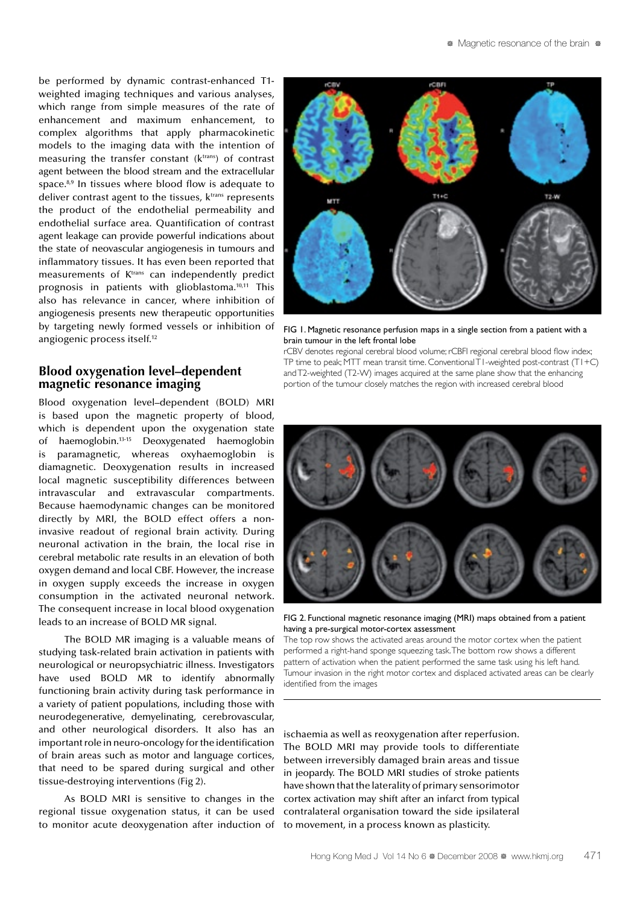be performed by dynamic contrast-enhanced T1 weighted imaging techniques and various analyses, which range from simple measures of the rate of enhancement and maximum enhancement, to complex algorithms that apply pharmacokinetic models to the imaging data with the intention of measuring the transfer constant  $(k<sup>trans</sup>)$  of contrast agent between the blood stream and the extracellular space. $8,9$  In tissues where blood flow is adequate to deliver contrast agent to the tissues, k<sup>trans</sup> represents the product of the endothelial permeability and endothelial surface area. Quantification of contrast agent leakage can provide powerful indications about the state of neovascular angiogenesis in tumours and inflammatory tissues. It has even been reported that measurements of K<sup>trans</sup> can independently predict prognosis in patients with glioblastoma.10,11 This also has relevance in cancer, where inhibition of angiogenesis presents new therapeutic opportunities by targeting newly formed vessels or inhibition of angiogenic process itself.12

#### **Blood oxygenation level–dependent magnetic resonance imaging**

Blood oxygenation level–dependent (BOLD) MRI is based upon the magnetic property of blood, which is dependent upon the oxygenation state of haemoglobin.13-15 Deoxygenated haemoglobin is paramagnetic, whereas oxyhaemoglobin is diamagnetic. Deoxygenation results in increased local magnetic susceptibility differences between intravascular and extravascular compartments. Because haemodynamic changes can be monitored directly by MRI, the BOLD effect offers a noninvasive readout of regional brain activity. During neuronal activation in the brain, the local rise in cerebral metabolic rate results in an elevation of both oxygen demand and local CBF. However, the increase in oxygen supply exceeds the increase in oxygen consumption in the activated neuronal network. The consequent increase in local blood oxygenation leads to an increase of BOLD MR signal.

The BOLD MR imaging is a valuable means of studying task-related brain activation in patients with neurological or neuropsychiatric illness. Investigators have used BOLD MR to identify abnormally functioning brain activity during task performance in a variety of patient populations, including those with neurodegenerative, demyelinating, cerebrovascular, and other neurological disorders. It also has an important role in neuro-oncology for the identification of brain areas such as motor and language cortices, that need to be spared during surgical and other tissue-destroying interventions (Fig 2).

As BOLD MRI is sensitive to changes in the regional tissue oxygenation status, it can be used to monitor acute deoxygenation after induction of



FIG 1. Magnetic resonance perfusion maps in a single section from a patient with a brain tumour in the left frontal lobe

rCBV denotes regional cerebral blood volume; rCBFI regional cerebral blood flow index; TP time to peak; MTT mean transit time. Conventional T1-weighted post-contrast (T1+C) and T2-weighted (T2-W) images acquired at the same plane show that the enhancing portion of the tumour closely matches the region with increased cerebral blood



FIG 2. Functional magnetic resonance imaging (MRI) maps obtained from a patient having a pre-surgical motor-cortex assessment

The top row shows the activated areas around the motor cortex when the patient performed a right-hand sponge squeezing task. The bottom row shows a different pattern of activation when the patient performed the same task using his left hand. Tumour invasion in the right motor cortex and displaced activated areas can be clearly identified from the images

ischaemia as well as reoxygenation after reperfusion. The BOLD MRI may provide tools to differentiate between irreversibly damaged brain areas and tissue in jeopardy. The BOLD MRI studies of stroke patients have shown that the laterality of primary sensorimotor cortex activation may shift after an infarct from typical contralateral organisation toward the side ipsilateral to movement, in a process known as plasticity.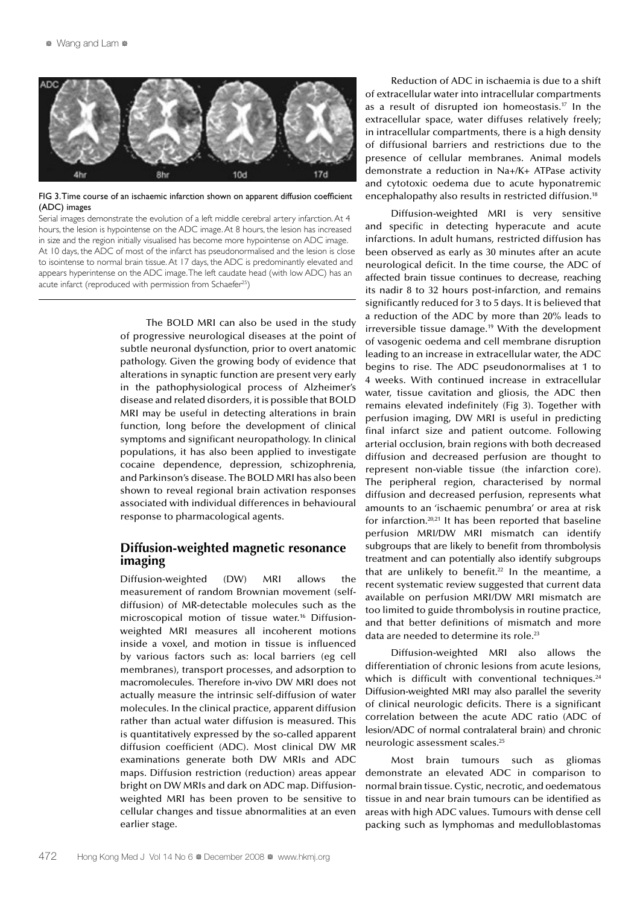

FIG 3. Time course of an ischaemic infarction shown on apparent diffusion coefficient (ADC) images

Serial images demonstrate the evolution of a left middle cerebral artery infarction. At 4 hours, the lesion is hypointense on the ADC image. At 8 hours, the lesion has increased in size and the region initially visualised has become more hypointense on ADC image. At 10 days, the ADC of most of the infarct has pseudonormalised and the lesion is close to isointense to normal brain tissue. At 17 days, the ADC is predominantly elevated and appears hyperintense on the ADC image. The left caudate head (with low ADC) has an acute infarct (reproduced with permission from Schaefer<sup>25</sup>)

> The BOLD MRI can also be used in the study of progressive neurological diseases at the point of subtle neuronal dysfunction, prior to overt anatomic pathology. Given the growing body of evidence that alterations in synaptic function are present very early in the pathophysiological process of Alzheimer's disease and related disorders, it is possible that BOLD MRI may be useful in detecting alterations in brain function, long before the development of clinical symptoms and significant neuropathology. In clinical populations, it has also been applied to investigate cocaine dependence, depression, schizophrenia, and Parkinson's disease. The BOLD MRI has also been shown to reveal regional brain activation responses associated with individual differences in behavioural response to pharmacological agents.

#### **Diffusion-weighted magnetic resonance imaging**

Diffusion-weighted (DW) MRI allows the measurement of random Brownian movement (selfdiffusion) of MR-detectable molecules such as the microscopical motion of tissue water.16 Diffusionweighted MRI measures all incoherent motions inside a voxel, and motion in tissue is influenced by various factors such as: local barriers (eg cell membranes), transport processes, and adsorption to macromolecules. Therefore in-vivo DW MRI does not actually measure the intrinsic self-diffusion of water molecules. In the clinical practice, apparent diffusion rather than actual water diffusion is measured. This is quantitatively expressed by the so-called apparent diffusion coefficient (ADC). Most clinical DW MR examinations generate both DW MRIs and ADC maps. Diffusion restriction (reduction) areas appear bright on DW MRIs and dark on ADC map. Diffusionweighted MRI has been proven to be sensitive to cellular changes and tissue abnormalities at an even earlier stage.

Reduction of ADC in ischaemia is due to a shift of extracellular water into intracellular compartments as a result of disrupted ion homeostasis.17 In the extracellular space, water diffuses relatively freely; in intracellular compartments, there is a high density of diffusional barriers and restrictions due to the presence of cellular membranes. Animal models demonstrate a reduction in Na+/K+ ATPase activity and cytotoxic oedema due to acute hyponatremic encephalopathy also results in restricted diffusion.<sup>18</sup>

Diffusion-weighted MRI is very sensitive and specific in detecting hyperacute and acute infarctions. In adult humans, restricted diffusion has been observed as early as 30 minutes after an acute neurological deficit. In the time course, the ADC of affected brain tissue continues to decrease, reaching its nadir 8 to 32 hours post-infarction, and remains significantly reduced for 3 to 5 days. It is believed that a reduction of the ADC by more than 20% leads to irreversible tissue damage.<sup>19</sup> With the development of vasogenic oedema and cell membrane disruption leading to an increase in extracellular water, the ADC begins to rise. The ADC pseudonormalises at 1 to 4 weeks. With continued increase in extracellular water, tissue cavitation and gliosis, the ADC then remains elevated indefinitely (Fig 3). Together with perfusion imaging, DW MRI is useful in predicting final infarct size and patient outcome. Following arterial occlusion, brain regions with both decreased diffusion and decreased perfusion are thought to represent non-viable tissue (the infarction core). The peripheral region, characterised by normal diffusion and decreased perfusion, represents what amounts to an 'ischaemic penumbra' or area at risk for infarction.20,21 It has been reported that baseline perfusion MRI/DW MRI mismatch can identify subgroups that are likely to benefit from thrombolysis treatment and can potentially also identify subgroups that are unlikely to benefit.<sup>22</sup> In the meantime, a recent systematic review suggested that current data available on perfusion MRI/DW MRI mismatch are too limited to guide thrombolysis in routine practice, and that better definitions of mismatch and more data are needed to determine its role.<sup>23</sup>

Diffusion-weighted MRI also allows the differentiation of chronic lesions from acute lesions, which is difficult with conventional techniques. $24$ Diffusion-weighted MRI may also parallel the severity of clinical neurologic deficits. There is a significant correlation between the acute ADC ratio (ADC of lesion/ADC of normal contralateral brain) and chronic neurologic assessment scales.25

Most brain tumours such as gliomas demonstrate an elevated ADC in comparison to normal brain tissue. Cystic, necrotic, and oedematous tissue in and near brain tumours can be identified as areas with high ADC values. Tumours with dense cell packing such as lymphomas and medulloblastomas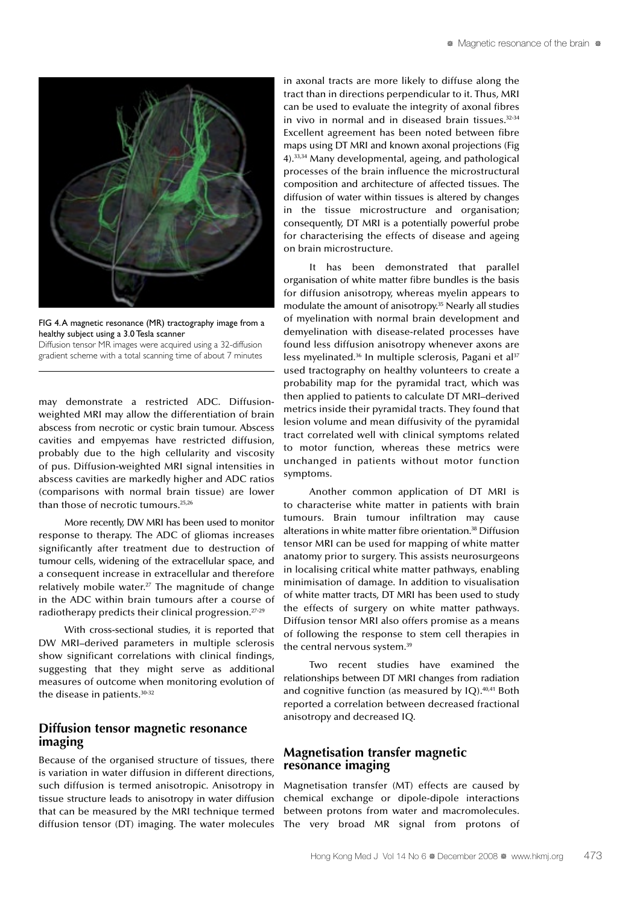

FIG 4. A magnetic resonance (MR) tractography image from a healthy subject using a 3.0 Tesla scanner

Diffusion tensor MR images were acquired using a 32-diffusion gradient scheme with a total scanning time of about 7 minutes

may demonstrate a restricted ADC. Diffusionweighted MRI may allow the differentiation of brain abscess from necrotic or cystic brain tumour. Abscess cavities and empyemas have restricted diffusion, probably due to the high cellularity and viscosity of pus. Diffusion-weighted MRI signal intensities in abscess cavities are markedly higher and ADC ratios (comparisons with normal brain tissue) are lower than those of necrotic tumours.25,26

More recently, DW MRI has been used to monitor response to therapy. The ADC of gliomas increases significantly after treatment due to destruction of tumour cells, widening of the extracellular space, and a consequent increase in extracellular and therefore relatively mobile water. $27$  The magnitude of change in the ADC within brain tumours after a course of radiotherapy predicts their clinical progression.27-29

With cross-sectional studies, it is reported that DW MRI–derived parameters in multiple sclerosis show significant correlations with clinical findings, suggesting that they might serve as additional measures of outcome when monitoring evolution of the disease in patients.<sup>30-32</sup>

#### **Diffusion tensor magnetic resonance imaging**

Because of the organised structure of tissues, there is variation in water diffusion in different directions, such diffusion is termed anisotropic. Anisotropy in tissue structure leads to anisotropy in water diffusion that can be measured by the MRI technique termed diffusion tensor (DT) imaging. The water molecules in axonal tracts are more likely to diffuse along the tract than in directions perpendicular to it. Thus, MRI can be used to evaluate the integrity of axonal fibres in vivo in normal and in diseased brain tissues. $32-34$ Excellent agreement has been noted between fibre maps using DT MRI and known axonal projections (Fig 4).33,34 Many developmental, ageing, and pathological processes of the brain influence the microstructural composition and architecture of affected tissues. The diffusion of water within tissues is altered by changes in the tissue microstructure and organisation; consequently, DT MRI is a potentially powerful probe for characterising the effects of disease and ageing on brain microstructure.

It has been demonstrated that parallel organisation of white matter fibre bundles is the basis for diffusion anisotropy, whereas myelin appears to modulate the amount of anisotropy.<sup>35</sup> Nearly all studies of myelination with normal brain development and demyelination with disease-related processes have found less diffusion anisotropy whenever axons are less myelinated.<sup>36</sup> In multiple sclerosis, Pagani et al<sup>37</sup> used tractography on healthy volunteers to create a probability map for the pyramidal tract, which was then applied to patients to calculate DT MRI–derived metrics inside their pyramidal tracts. They found that lesion volume and mean diffusivity of the pyramidal tract correlated well with clinical symptoms related to motor function, whereas these metrics were unchanged in patients without motor function symptoms.

Another common application of DT MRI is to characterise white matter in patients with brain tumours. Brain tumour infiltration may cause alterations in white matter fibre orientation.38 Diffusion tensor MRI can be used for mapping of white matter anatomy prior to surgery. This assists neurosurgeons in localising critical white matter pathways, enabling minimisation of damage. In addition to visualisation of white matter tracts, DT MRI has been used to study the effects of surgery on white matter pathways. Diffusion tensor MRI also offers promise as a means of following the response to stem cell therapies in the central nervous system.<sup>39</sup>

Two recent studies have examined the relationships between DT MRI changes from radiation and cognitive function (as measured by IQ).40,41 Both reported a correlation between decreased fractional anisotropy and decreased IQ.

#### **Magnetisation transfer magnetic resonance imaging**

Magnetisation transfer (MT) effects are caused by chemical exchange or dipole-dipole interactions between protons from water and macromolecules. The very broad MR signal from protons of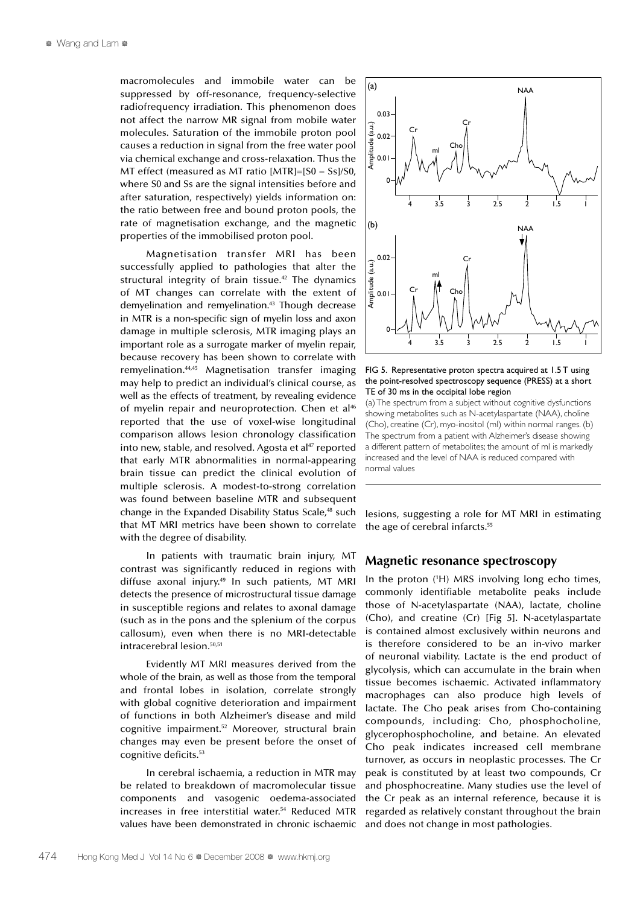macromolecules and immobile water can be suppressed by off-resonance, frequency-selective radiofrequency irradiation. This phenomenon does not affect the narrow MR signal from mobile water molecules. Saturation of the immobile proton pool causes a reduction in signal from the free water pool via chemical exchange and cross-relaxation. Thus the MT effect (measured as MT ratio [MTR]=[S0 − Ss]/S0, where S0 and Ss are the signal intensities before and after saturation, respectively) yields information on: the ratio between free and bound proton pools, the rate of magnetisation exchange, and the magnetic properties of the immobilised proton pool.

Magnetisation transfer MRI has been successfully applied to pathologies that alter the structural integrity of brain tissue.<sup>42</sup> The dynamics of MT changes can correlate with the extent of demyelination and remyelination.43 Though decrease in MTR is a non-specific sign of myelin loss and axon damage in multiple sclerosis, MTR imaging plays an important role as a surrogate marker of myelin repair, because recovery has been shown to correlate with remyelination.44,45 Magnetisation transfer imaging may help to predict an individual's clinical course, as well as the effects of treatment, by revealing evidence of myelin repair and neuroprotection. Chen et al<sup>46</sup> reported that the use of voxel-wise longitudinal comparison allows lesion chronology classification into new, stable, and resolved. Agosta et al $47$  reported that early MTR abnormalities in normal-appearing brain tissue can predict the clinical evolution of multiple sclerosis. A modest-to-strong correlation was found between baseline MTR and subsequent change in the Expanded Disability Status Scale,<sup>48</sup> such that MT MRI metrics have been shown to correlate with the degree of disability.

In patients with traumatic brain injury, MT contrast was significantly reduced in regions with diffuse axonal injury.<sup>49</sup> In such patients, MT MRI detects the presence of microstructural tissue damage in susceptible regions and relates to axonal damage (such as in the pons and the splenium of the corpus callosum), even when there is no MRI-detectable intracerebral lesion.50,51

Evidently MT MRI measures derived from the whole of the brain, as well as those from the temporal and frontal lobes in isolation, correlate strongly with global cognitive deterioration and impairment of functions in both Alzheimer's disease and mild cognitive impairment.52 Moreover, structural brain changes may even be present before the onset of cognitive deficits.53

In cerebral ischaemia, a reduction in MTR may be related to breakdown of macromolecular tissue components and vasogenic oedema-associated increases in free interstitial water.54 Reduced MTR values have been demonstrated in chronic ischaemic



FIG 5. Representative proton spectra acquired at 1.5 T using the point-resolved spectroscopy sequence (PRESS) at a short TE of 30 ms in the occipital lobe region

(a) The spectrum from a subject without cognitive dysfunctions showing metabolites such as N-acetylaspartate (NAA), choline (Cho), creatine (Cr), myo-inositol (mI) within normal ranges. (b) The spectrum from a patient with Alzheimer's disease showing a different pattern of metabolites; the amount of mI is markedly increased and the level of NAA is reduced compared with normal values

lesions, suggesting a role for MT MRI in estimating the age of cerebral infarcts.<sup>55</sup>

#### **Magnetic resonance spectroscopy**

In the proton (1 H) MRS involving long echo times, commonly identifiable metabolite peaks include those of N-acetylaspartate (NAA), lactate, choline (Cho), and creatine (Cr) [Fig 5]. N-acetylaspartate is contained almost exclusively within neurons and is therefore considered to be an in-vivo marker of neuronal viability. Lactate is the end product of glycolysis, which can accumulate in the brain when tissue becomes ischaemic. Activated inflammatory macrophages can also produce high levels of lactate. The Cho peak arises from Cho-containing compounds, including: Cho, phosphocholine, glycerophosphocholine, and betaine. An elevated Cho peak indicates increased cell membrane turnover, as occurs in neoplastic processes. The Cr peak is constituted by at least two compounds, Cr and phosphocreatine. Many studies use the level of the Cr peak as an internal reference, because it is regarded as relatively constant throughout the brain and does not change in most pathologies.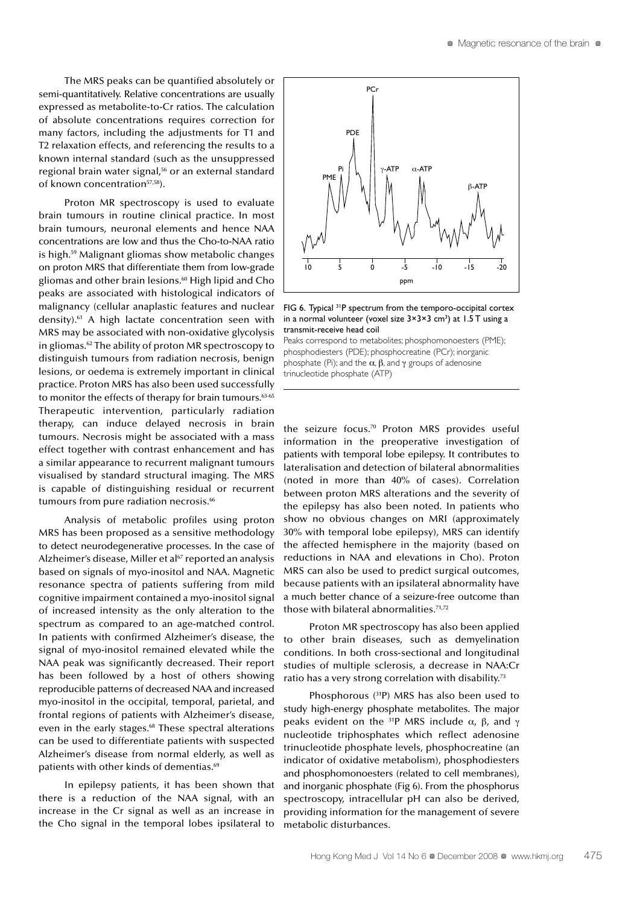The MRS peaks can be quantified absolutely or semi-quantitatively. Relative concentrations are usually expressed as metabolite-to-Cr ratios. The calculation of absolute concentrations requires correction for many factors, including the adjustments for T1 and T2 relaxation effects, and referencing the results to a known internal standard (such as the unsuppressed regional brain water signal,<sup>56</sup> or an external standard of known concentration<sup>57,58</sup>).

Proton MR spectroscopy is used to evaluate brain tumours in routine clinical practice. In most brain tumours, neuronal elements and hence NAA concentrations are low and thus the Cho-to-NAA ratio is high.59 Malignant gliomas show metabolic changes on proton MRS that differentiate them from low-grade gliomas and other brain lesions.60 High lipid and Cho peaks are associated with histological indicators of malignancy (cellular anaplastic features and nuclear density).61 A high lactate concentration seen with MRS may be associated with non-oxidative glycolysis in gliomas.62 The ability of proton MR spectroscopy to distinguish tumours from radiation necrosis, benign lesions, or oedema is extremely important in clinical practice. Proton MRS has also been used successfully to monitor the effects of therapy for brain tumours.<sup>63-65</sup> Therapeutic intervention, particularly radiation therapy, can induce delayed necrosis in brain tumours. Necrosis might be associated with a mass effect together with contrast enhancement and has a similar appearance to recurrent malignant tumours visualised by standard structural imaging. The MRS is capable of distinguishing residual or recurrent tumours from pure radiation necrosis.<sup>66</sup>

Analysis of metabolic profiles using proton MRS has been proposed as a sensitive methodology to detect neurodegenerative processes. In the case of Alzheimer's disease, Miller et al<sup>67</sup> reported an analysis based on signals of myo-inositol and NAA. Magnetic resonance spectra of patients suffering from mild cognitive impairment contained a myo-inositol signal of increased intensity as the only alteration to the spectrum as compared to an age-matched control. In patients with confirmed Alzheimer's disease, the signal of myo-inositol remained elevated while the NAA peak was significantly decreased. Their report has been followed by a host of others showing reproducible patterns of decreased NAA and increased myo-inositol in the occipital, temporal, parietal, and frontal regions of patients with Alzheimer's disease, even in the early stages.<sup>68</sup> These spectral alterations can be used to differentiate patients with suspected Alzheimer's disease from normal elderly, as well as patients with other kinds of dementias.<sup>69</sup>

In epilepsy patients, it has been shown that there is a reduction of the NAA signal, with an increase in the Cr signal as well as an increase in the Cho signal in the temporal lobes ipsilateral to



FIG 6. Typical <sup>31</sup>P spectrum from the temporo-occipital cortex in a normal volunteer (voxel size  $3\times3\times3$  cm<sup>3</sup>) at 1.5 T using a transmit-receive head coil

Peaks correspond to metabolites; phosphomonoesters (PME); phosphodiesters (PDE); phosphocreatine (PCr); inorganic phosphate (Pi); and the  $\alpha$ ,  $\beta$ , and  $\gamma$  groups of adenosine trinucleotide phosphate (ATP)

the seizure focus.70 Proton MRS provides useful information in the preoperative investigation of patients with temporal lobe epilepsy. It contributes to lateralisation and detection of bilateral abnormalities (noted in more than 40% of cases). Correlation between proton MRS alterations and the severity of the epilepsy has also been noted. In patients who show no obvious changes on MRI (approximately 30% with temporal lobe epilepsy), MRS can identify the affected hemisphere in the majority (based on reductions in NAA and elevations in Cho). Proton MRS can also be used to predict surgical outcomes, because patients with an ipsilateral abnormality have a much better chance of a seizure-free outcome than those with bilateral abnormalities.71,72

Proton MR spectroscopy has also been applied to other brain diseases, such as demyelination conditions. In both cross-sectional and longitudinal studies of multiple sclerosis, a decrease in NAA:Cr ratio has a very strong correlation with disability.<sup>73</sup>

Phosphorous (31P) MRS has also been used to study high-energy phosphate metabolites. The major peaks evident on the <sup>31</sup>P MRS include  $\alpha$ , β, and γ nucleotide triphosphates which reflect adenosine trinucleotide phosphate levels, phosphocreatine (an indicator of oxidative metabolism), phosphodiesters and phosphomonoesters (related to cell membranes), and inorganic phosphate (Fig 6). From the phosphorus spectroscopy, intracellular pH can also be derived, providing information for the management of severe metabolic disturbances.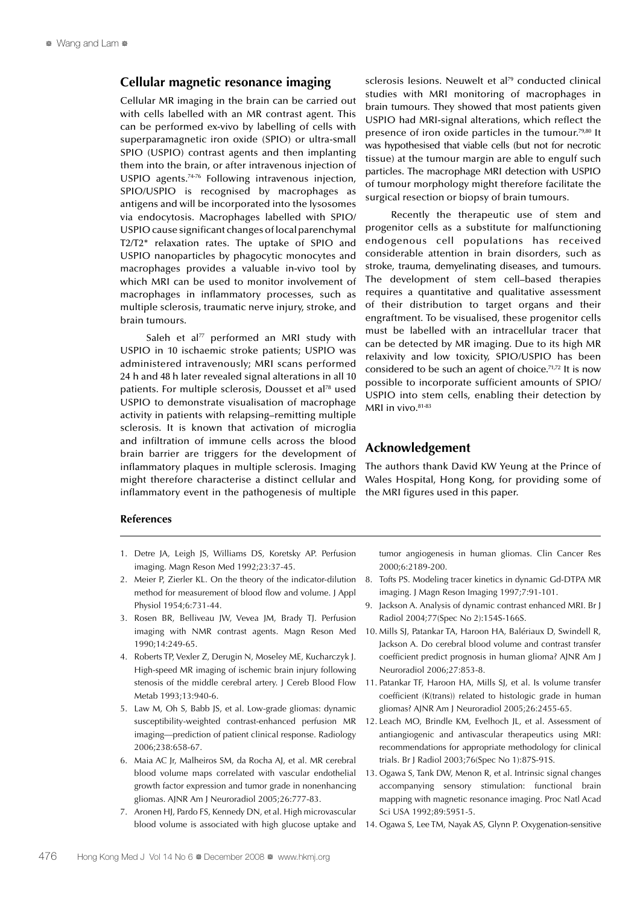#### **Cellular magnetic resonance imaging**

Cellular MR imaging in the brain can be carried out with cells labelled with an MR contrast agent. This can be performed ex-vivo by labelling of cells with superparamagnetic iron oxide (SPIO) or ultra-small SPIO (USPIO) contrast agents and then implanting them into the brain, or after intravenous injection of USPIO agents.74-76 Following intravenous injection, SPIO/USPIO is recognised by macrophages as antigens and will be incorporated into the lysosomes via endocytosis. Macrophages labelled with SPIO/ USPIO cause significant changes of local parenchymal T2/T2\* relaxation rates. The uptake of SPIO and USPIO nanoparticles by phagocytic monocytes and macrophages provides a valuable in-vivo tool by which MRI can be used to monitor involvement of macrophages in inflammatory processes, such as multiple sclerosis, traumatic nerve injury, stroke, and brain tumours.

Saleh et al $^{77}$  performed an MRI study with USPIO in 10 ischaemic stroke patients; USPIO was administered intravenously; MRI scans performed 24 h and 48 h later revealed signal alterations in all 10 patients. For multiple sclerosis, Dousset et al<sup>78</sup> used USPIO to demonstrate visualisation of macrophage activity in patients with relapsing–remitting multiple sclerosis. It is known that activation of microglia and infiltration of immune cells across the blood brain barrier are triggers for the development of inflammatory plaques in multiple sclerosis. Imaging might therefore characterise a distinct cellular and inflammatory event in the pathogenesis of multiple

sclerosis lesions. Neuwelt et al<sup>79</sup> conducted clinical studies with MRI monitoring of macrophages in brain tumours. They showed that most patients given USPIO had MRI-signal alterations, which reflect the presence of iron oxide particles in the tumour.<sup>79,80</sup> It was hypothesised that viable cells (but not for necrotic tissue) at the tumour margin are able to engulf such particles. The macrophage MRI detection with USPIO of tumour morphology might therefore facilitate the surgical resection or biopsy of brain tumours.

Recently the therapeutic use of stem and progenitor cells as a substitute for malfunctioning endogenous cell populations has received considerable attention in brain disorders, such as stroke, trauma, demyelinating diseases, and tumours. The development of stem cell–based therapies requires a quantitative and qualitative assessment of their distribution to target organs and their engraftment. To be visualised, these progenitor cells must be labelled with an intracellular tracer that can be detected by MR imaging. Due to its high MR relaxivity and low toxicity, SPIO/USPIO has been considered to be such an agent of choice.<sup>71,72</sup> It is now possible to incorporate sufficient amounts of SPIO/ USPIO into stem cells, enabling their detection by MRI in vivo.<sup>81-83</sup>

#### **Acknowledgement**

The authors thank David KW Yeung at the Prince of Wales Hospital, Hong Kong, for providing some of the MRI figures used in this paper.

#### **References**

- 1. Detre JA, Leigh JS, Williams DS, Koretsky AP. Perfusion imaging. Magn Reson Med 1992;23:37-45.
- 2. Meier P, Zierler KL. On the theory of the indicator-dilution method for measurement of blood flow and volume. J Appl Physiol 1954;6:731-44.
- 3. Rosen BR, Belliveau JW, Vevea JM, Brady TJ. Perfusion imaging with NMR contrast agents. Magn Reson Med 1990;14:249-65.
- 4. Roberts TP, Vexler Z, Derugin N, Moseley ME, Kucharczyk J. High-speed MR imaging of ischemic brain injury following stenosis of the middle cerebral artery. J Cereb Blood Flow Metab 1993;13:940-6.
- 5. Law M, Oh S, Babb JS, et al. Low-grade gliomas: dynamic susceptibility-weighted contrast-enhanced perfusion MR imaging—prediction of patient clinical response. Radiology 2006;238:658-67.
- 6. Maia AC Jr, Malheiros SM, da Rocha AJ, et al. MR cerebral blood volume maps correlated with vascular endothelial growth factor expression and tumor grade in nonenhancing gliomas. AJNR Am J Neuroradiol 2005;26:777-83.
- 7. Aronen HJ, Pardo FS, Kennedy DN, et al. High microvascular

tumor angiogenesis in human gliomas. Clin Cancer Res 2000;6:2189-200.

- 8. Tofts PS. Modeling tracer kinetics in dynamic Gd-DTPA MR imaging. J Magn Reson Imaging 1997;7:91-101.
- 9. Jackson A. Analysis of dynamic contrast enhanced MRI. Br J Radiol 2004;77(Spec No 2):154S-166S.
- 10. Mills SJ, Patankar TA, Haroon HA, Balériaux D, Swindell R, Jackson A. Do cerebral blood volume and contrast transfer coefficient predict prognosis in human glioma? AJNR Am J Neuroradiol 2006;27:853-8.
- 11. Patankar TF, Haroon HA, Mills SJ, et al. Is volume transfer coefficient (K(trans)) related to histologic grade in human gliomas? AJNR Am J Neuroradiol 2005;26:2455-65.
- 12. Leach MO, Brindle KM, Evelhoch JL, et al. Assessment of antiangiogenic and antivascular therapeutics using MRI: recommendations for appropriate methodology for clinical trials. Br J Radiol 2003;76(Spec No 1):87S-91S.
- 13. Ogawa S, Tank DW, Menon R, et al. Intrinsic signal changes accompanying sensory stimulation: functional brain mapping with magnetic resonance imaging. Proc Natl Acad Sci USA 1992;89:5951-5.
- blood volume is associated with high glucose uptake and 14. Ogawa S, Lee TM, Nayak AS, Glynn P. Oxygenation-sensitive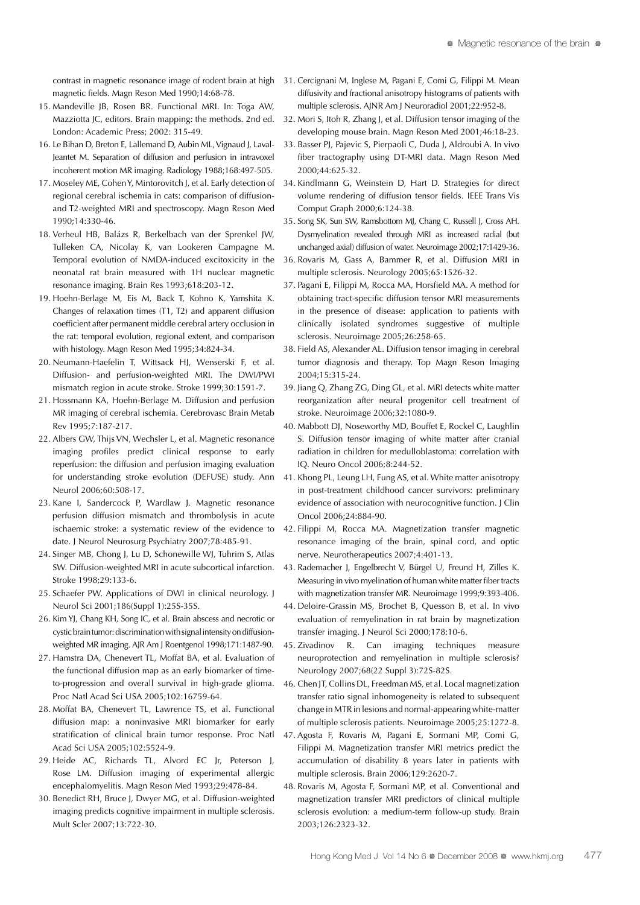contrast in magnetic resonance image of rodent brain at high magnetic fields. Magn Reson Med 1990;14:68-78.

- 15. Mandeville JB, Rosen BR. Functional MRI. In: Toga AW, Mazziotta JC, editors. Brain mapping: the methods. 2nd ed. London: Academic Press; 2002: 315-49.
- 16. Le Bihan D, Breton E, Lallemand D, Aubin ML, Vignaud J, Laval-Jeantet M. Separation of diffusion and perfusion in intravoxel incoherent motion MR imaging. Radiology 1988;168:497-505.
- 17. Moseley ME, Cohen Y, Mintorovitch J, et al. Early detection of regional cerebral ischemia in cats: comparison of diffusionand T2-weighted MRI and spectroscopy. Magn Reson Med 1990;14:330-46.
- 18. Verheul HB, Balázs R, Berkelbach van der Sprenkel JW, Tulleken CA, Nicolay K, van Lookeren Campagne M. Temporal evolution of NMDA-induced excitoxicity in the neonatal rat brain measured with 1H nuclear magnetic resonance imaging. Brain Res 1993;618:203-12.
- 19. Hoehn-Berlage M, Eis M, Back T, Kohno K, Yamshita K. Changes of relaxation times (T1, T2) and apparent diffusion coefficient after permanent middle cerebral artery occlusion in the rat: temporal evolution, regional extent, and comparison with histology. Magn Reson Med 1995;34:824-34.
- 20. Neumann-Haefelin T, Wittsack HJ, Wenserski F, et al. Diffusion- and perfusion-weighted MRI. The DWI/PWI mismatch region in acute stroke. Stroke 1999;30:1591-7.
- 21. Hossmann KA, Hoehn-Berlage M. Diffusion and perfusion MR imaging of cerebral ischemia. Cerebrovasc Brain Metab Rev 1995;7:187-217.
- 22. Albers GW, Thijs VN, Wechsler L, et al. Magnetic resonance imaging profiles predict clinical response to early reperfusion: the diffusion and perfusion imaging evaluation for understanding stroke evolution (DEFUSE) study. Ann Neurol 2006;60:508-17.
- 23. Kane I, Sandercock P, Wardlaw J. Magnetic resonance perfusion diffusion mismatch and thrombolysis in acute ischaemic stroke: a systematic review of the evidence to date. J Neurol Neurosurg Psychiatry 2007;78:485-91.
- 24. Singer MB, Chong J, Lu D, Schonewille WJ, Tuhrim S, Atlas SW. Diffusion-weighted MRI in acute subcortical infarction. Stroke 1998;29:133-6.
- 25. Schaefer PW. Applications of DWI in clinical neurology. J Neurol Sci 2001;186(Suppl 1):25S-35S.
- 26. Kim YJ, Chang KH, Song IC, et al. Brain abscess and necrotic or cystic brain tumor: discrimination with signal intensity on diffusionweighted MR imaging. AJR Am J Roentgenol 1998;171:1487-90.
- 27. Hamstra DA, Chenevert TL, Moffat BA, et al. Evaluation of the functional diffusion map as an early biomarker of timeto-progression and overall survival in high-grade glioma. Proc Natl Acad Sci USA 2005;102:16759-64.
- 28. Moffat BA, Chenevert TL, Lawrence TS, et al. Functional diffusion map: a noninvasive MRI biomarker for early stratification of clinical brain tumor response. Proc Natl Acad Sci USA 2005;102:5524-9.
- 29. Heide AC, Richards TL, Alvord EC Jr, Peterson J, Rose LM. Diffusion imaging of experimental allergic encephalomyelitis. Magn Reson Med 1993;29:478-84.
- 30. Benedict RH, Bruce J, Dwyer MG, et al. Diffusion-weighted imaging predicts cognitive impairment in multiple sclerosis. Mult Scler 2007;13:722-30.
- 31. Cercignani M, Inglese M, Pagani E, Comi G, Filippi M. Mean diffusivity and fractional anisotropy histograms of patients with multiple sclerosis. AJNR Am J Neuroradiol 2001;22:952-8.
- 32. Mori S, Itoh R, Zhang J, et al. Diffusion tensor imaging of the developing mouse brain. Magn Reson Med 2001;46:18-23.
- 33. Basser PJ, Pajevic S, Pierpaoli C, Duda J, Aldroubi A. In vivo fiber tractography using DT-MRI data. Magn Reson Med 2000;44:625-32.
- 34. Kindlmann G, Weinstein D, Hart D. Strategies for direct volume rendering of diffusion tensor fields. IEEE Trans Vis Comput Graph 2000;6:124-38.
- 35. Song SK, Sun SW, Ramsbottom MJ, Chang C, Russell J, Cross AH. Dysmyelination revealed through MRI as increased radial (but unchanged axial) diffusion of water. Neuroimage 2002;17:1429-36.
- 36. Rovaris M, Gass A, Bammer R, et al. Diffusion MRI in multiple sclerosis. Neurology 2005;65:1526-32.
- 37. Pagani E, Filippi M, Rocca MA, Horsfield MA. A method for obtaining tract-specific diffusion tensor MRI measurements in the presence of disease: application to patients with clinically isolated syndromes suggestive of multiple sclerosis. Neuroimage 2005;26:258-65.
- 38. Field AS, Alexander AL. Diffusion tensor imaging in cerebral tumor diagnosis and therapy. Top Magn Reson Imaging 2004;15:315-24.
- 39. Jiang Q, Zhang ZG, Ding GL, et al. MRI detects white matter reorganization after neural progenitor cell treatment of stroke. Neuroimage 2006;32:1080-9.
- 40. Mabbott DJ, Noseworthy MD, Bouffet E, Rockel C, Laughlin S. Diffusion tensor imaging of white matter after cranial radiation in children for medulloblastoma: correlation with IQ. Neuro Oncol 2006;8:244-52.
- 41. Khong PL, Leung LH, Fung AS, et al. White matter anisotropy in post-treatment childhood cancer survivors: preliminary evidence of association with neurocognitive function. J Clin Oncol 2006;24:884-90.
- 42. Filippi M, Rocca MA. Magnetization transfer magnetic resonance imaging of the brain, spinal cord, and optic nerve. Neurotherapeutics 2007;4:401-13.
- 43. Rademacher J, Engelbrecht V, Bürgel U, Freund H, Zilles K. Measuring in vivo myelination of human white matter fiber tracts with magnetization transfer MR. Neuroimage 1999;9:393-406.
- 44. Deloire-Grassin MS, Brochet B, Quesson B, et al. In vivo evaluation of remyelination in rat brain by magnetization transfer imaging. J Neurol Sci 2000;178:10-6.
- 45. Zivadinov R. Can imaging techniques measure neuroprotection and remyelination in multiple sclerosis? Neurology 2007;68(22 Suppl 3):72S-82S.
- 46. Chen JT, Collins DL, Freedman MS, et al. Local magnetization transfer ratio signal inhomogeneity is related to subsequent change in MTR in lesions and normal-appearing white-matter of multiple sclerosis patients. Neuroimage 2005;25:1272-8.
- 47. Agosta F, Rovaris M, Pagani E, Sormani MP, Comi G, Filippi M. Magnetization transfer MRI metrics predict the accumulation of disability 8 years later in patients with multiple sclerosis. Brain 2006;129:2620-7.
- 48. Rovaris M, Agosta F, Sormani MP, et al. Conventional and magnetization transfer MRI predictors of clinical multiple sclerosis evolution: a medium-term follow-up study. Brain 2003;126:2323-32.